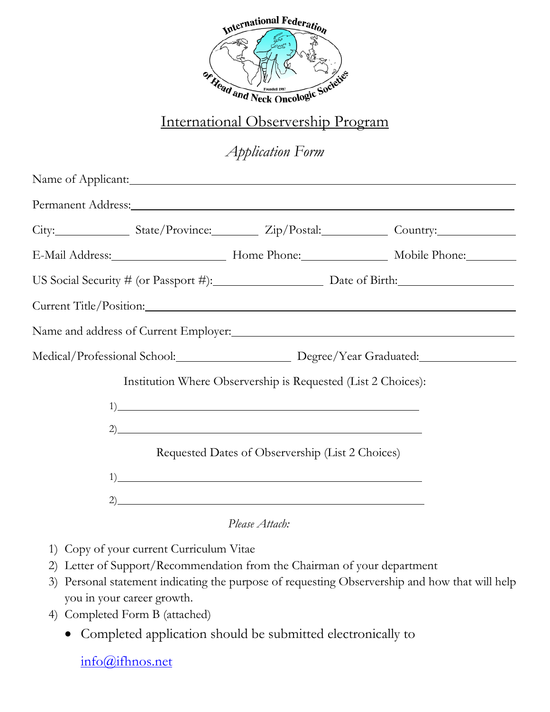

## International Observership Program

## *Application Form*

|                                                               |                                                  | City: State/Province: Zip/Postal: Country:                                       |
|---------------------------------------------------------------|--------------------------------------------------|----------------------------------------------------------------------------------|
|                                                               |                                                  | E-Mail Address: Mobile Phone: Mobile Phone: Mobile Phone:                        |
|                                                               |                                                  | US Social Security $\#$ (or Passport $\#$ ): Date of Birth:                      |
| Current Title/Position:                                       |                                                  |                                                                                  |
|                                                               |                                                  |                                                                                  |
|                                                               |                                                  | Medical/Professional School: Degree/Year Graduated: Medical/Professional School: |
| Institution Where Observership is Requested (List 2 Choices): |                                                  |                                                                                  |
| 1)                                                            |                                                  |                                                                                  |
| 2)                                                            |                                                  |                                                                                  |
|                                                               | Requested Dates of Observership (List 2 Choices) |                                                                                  |
| 1)                                                            |                                                  |                                                                                  |
|                                                               |                                                  |                                                                                  |

*Please Attach:*

- 1) Copy of your current Curriculum Vitae
- 2) Letter of Support/Recommendation from the Chairman of your department
- 3) Personal statement indicating the purpose of requesting Observership and how that will help you in your career growth.
- 4) Completed Form B (attached)
	- Completed application should be submitted electronically to

[info@ifhnos.net](mailto:info@ifhnos.net)